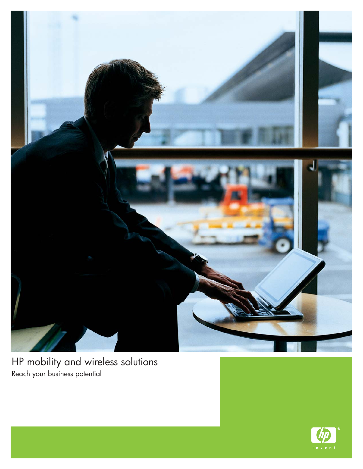

HP mobility and wireless solutions Reach your business potential

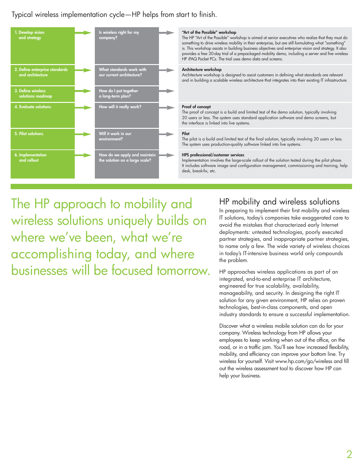Typical wireless implementation cycle—HP helps from start to finish.



#### **"Art of the Possible" workshop**

The HP "Art of the Possible" workshop is aimed at senior executives who realize that they must do something to drive wireless mobility in their enterprise, but are still formulating what "something" is. This workshop assists in building business objectives and enterprise vision and strategy. It also provides a free 30-day trial of a prepackaged mobility demo, including a server and five wireless HP iPAQ Pocket PCs. The trial uses demo data and screens.

#### **Architecture workshop**

Architecture workshop is designed to assist customers in defining what standards are relevant and in building a scalable wireless architecture that integrates into their existing IT infrastructure.

#### **Proof of concept**

The proof of concept is a build and limited test of the demo solution, typically involving 20 users or less. The system uses standard application software and demo screens, but the interface is linked into live systems.

#### **Pilot**

The pilot is a build and limited test of the final solution, typically involving 20 users or less. The system uses production-quality software linked into live systems.

#### **HPS professional/customer services**

Implementation involves the large-scale rollout of the solution tested during the pilot phase. It includes software image and configuration management, commissioning and training, help desk, break-fix, etc.

The HP approach to mobility and wireless solutions uniquely builds on where we've been, what we're accomplishing today, and where businesses will be focused tomorrow.

# HP mobility and wireless solutions

In preparing to implement their first mobility and wireless IT solutions, today's companies take exaggerated care to avoid the mistakes that characterized early Internet deployments: untested technologies, poorly executed partner strategies, and inappropriate partner strategies, to name only a few. The wide variety of wireless choices in today's IT-intensive business world only compounds the problem.

HP approaches wireless applications as part of an integrated, end-to-end enterprise IT architecture, engineered for true scalability, availability, manageability, and security. In designing the right IT solution for any given environment, HP relies on proven technologies, best-in-class components, and open industry standards to ensure a successful implementation.

Discover what a wireless mobile solution can do for your company. Wireless technology from HP allows your employees to keep working when out of the office, on the road, or in a traffic jam. You'll see how increased flexibility, mobility, and efficiency can improve your bottom line. Try wireless for yourself. Visit www.hp.com/go/wireless and fill out the wireless assessment tool to discover how HP can help your business.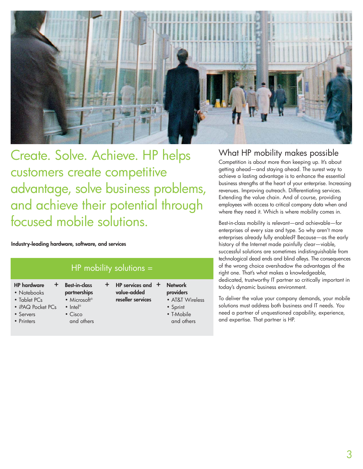

Create. Solve. Achieve. HP helps customers create competitive advantage, solve business problems, and achieve their potential through focused mobile solutions.

**Industry-leading hardware, software, and services**

| $HP$ mobility solutions =                                                                               |                                                                                                                                           |    |                                                         |                                                                                        |
|---------------------------------------------------------------------------------------------------------|-------------------------------------------------------------------------------------------------------------------------------------------|----|---------------------------------------------------------|----------------------------------------------------------------------------------------|
| <b>HP</b> hardware<br>÷.<br>• Notebooks<br>• Tablet PCs<br>• iPAQ Pocket PCs<br>• Servers<br>• Printers | <b>Best-in-class</b><br>partnerships<br>$\bullet$ Microsoft <sup>®</sup><br>$\bullet$ Intel <sup>®</sup><br>$\bullet$ Cisco<br>and others | ÷. | HP services and $+$<br>value-added<br>reseller services | <b>Network</b><br>providers<br>• AT&T Wireless<br>• Sprint<br>• T-Mobile<br>and others |

# What HP mobility makes possible

Competition is about more than keeping up. It's about getting ahead—and staying ahead. The surest way to achieve a lasting advantage is to enhance the essential business strengths at the heart of your enterprise. Increasing revenues. Improving outreach. Differentiating services. Extending the value chain. And of course, providing employees with access to critical company data when and where they need it. Which is where mobility comes in.

Best-in-class mobility is relevant—and achievable—for enterprises of every size and type. So why aren't more enterprises already fully enabled? Because—as the early history of the Internet made painfully clear—viable, successful solutions are sometimes indistinguishable from technological dead ends and blind alleys. The consequences of the wrong choice overshadow the advantages of the right one. That's what makes a knowledgeable, dedicated, trustworthy IT partner so critically important in today's dynamic business environment.

To deliver the value your company demands, your mobile solutions must address both business and IT needs. You need a partner of unquestioned capability, experience, and expertise. That partner is HP.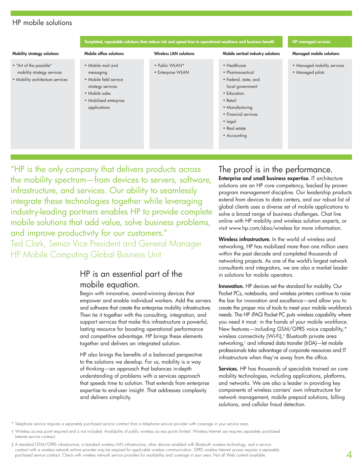## HP mobile solutions



"HP is the only company that delivers products across the mobility spectrum—from devices to servers, software, infrastructure, and services. Our ability to seamlessly integrate these technologies together while leveraging industry-leading partners enables HP to provide complete mobile solutions that add value, solve business problems, and improve productivity for our customers." Ted Clark, Senior Vice President and General Manager HP Mobile Computing Global Business Unit

# HP is an essential part of the mobile equation.

Begin with innovative, award-winning devices that empower and enable individual workers. Add the servers and software that create the enterprise mobility infrastructure. Then tie it together with the consulting, integration, and support services that make this infrastructure a powerful, lasting resource for boosting operational performance and competitive advantage. HP brings these elements together and delivers an integrated solution.

HP also brings the benefits of a balanced perspective to the solutions we develop. For us, mobility is a way of thinking—an approach that balances in-depth understanding of problems with a services approach that speeds time to solution. That extends from enterprise expertise to end-user insight. That addresses complexity and delivers simplicity.

# The proof is in the performance.

**Enterprise and small business expertise.** IT architecture solutions are an HP core competency, backed by proven program management discipline. Our leadership products extend from devices to data centers, and our robust list of global clients uses a diverse set of mobile applications to solve a broad range of business challenges. Chat live online with HP mobility and wireless solution experts, or visit www.hp.com/sbso/wireless for more information.

**Wireless infrastructure.** In the world of wireless and networking, HP has mobilized more than one million users within the past decade and completed thousands of networking projects. As one of the world's largest network consultants and integrators, we are also a market leader in solutions for mobile operators.

**Innovation.** HP devices set the standard for mobility. Our Pocket PCs, notebooks, and wireless printers continue to raise the bar for innovation and excellence—and allow you to create the proper mix of tools to meet your mobile workforce's needs. The HP iPAQ Pocket PC puts wireless capability where you need it most: in the hands of your mobile workforce. New features—including GSM/GPRS voice capability,\* wireless connectivity (Wi-Fi),† Bluetooth private area networking,‡ and infrared data transfer (IrDA)—let mobile professionals take advantage of corporate resources and IT infrastructure when they're away from the office.

**Services.** HP has thousands of specialists trained on core mobility technologies, including applications, platforms, and networks. We are also a leader in providing key components of wireless carriers' own infrastructure for network management, mobile prepaid solutions, billing solutions, and cellular fraud detection.

\* Telephone service requires a separately purchased service contract from a telephone service provider with coverage in your service area.

- † Wireless access point required and is not included. Availability of public wireless access points limited. Wireless Internet use requires separately purchased Internet service contract.
- ‡ A standard GSM/GPRS infrastructure, a standard wireless LAN infrastructure, other devices enabled with Bluetooth wireless technology, and a service contract with a wireless network airtime provider may be required for applicable wireless communication. GPRS wireless Internet access requires a separately purchased service contract. Check with wireless network service providers for availability and coverage in your area. Not all Web content available.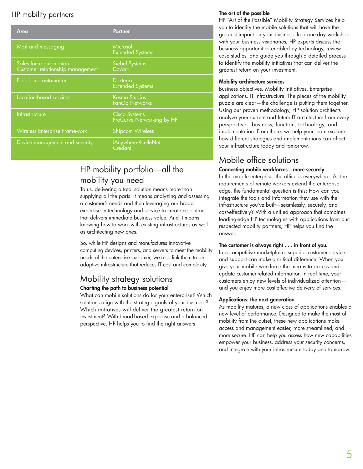# HP mobility partners

| Area                                                       | <b>Partner</b>                                    |
|------------------------------------------------------------|---------------------------------------------------|
| Mail and messaging                                         | Microsoft<br><b>Extended Systems</b>              |
| Sales force automation<br>Customer relationship management | <b>Siebel Systems</b><br>Dovarri                  |
| Field force automation                                     | Dexterra<br><b>Extended Systems</b>               |
| Location-based services                                    | <b>Kosmo Studios</b><br>PanGo Networks            |
| Infrastructure                                             | <b>Cisco Systems</b><br>ProCurve Networking by HP |
| <b>Wireless Enterprise Framework</b>                       | <b>Shipcom Wireless</b>                           |
| Device management and security                             | iAnywhere-XcelleNet<br>Credant                    |

# HP mobility portfolio—all the mobility you need

To us, delivering a total solution means more than supplying all the parts. It means analyzing and assessing a customer's needs and then leveraging our broad expertise in technology and service to create a solution that delivers immediate business value. And it means knowing how to work with existing infrastructures as well as architecting new ones.

So, while HP designs and manufactures innovative computing devices, printers, and servers to meet the mobility needs of the enterprise customer, we also link them to an adaptive infrastructure that reduces IT cost and complexity.

# Mobility strategy solutions **Charting the path to business potential**

What can mobile solutions do for your enterprise? Which solutions align with the strategic goals of your business? Which initiatives will deliver the greatest return on investment? With broad-based expertise and a balanced perspective, HP helps you to find the right answers.

## **The art of the possible**

HP "Art of the Possible" Mobility Strategy Services help you to identify the mobile solutions that will have the greatest impact on your business. In a one-day workshop with your business visionaries, HP experts discuss the business opportunities enabled by technology, review case studies, and guide you through a detailed process to identify the mobility initiatives that can deliver the greatest return on your investment.

## **Mobility architecture services**

Business objectives. Mobility initiatives. Enterprise applications. IT infrastructure. The pieces of the mobility puzzle are clear—the challenge is putting them together. Using our proven methodology, HP solution architects analyze your current and future IT architecture from every perspective—business, function, technology, and implementation. From there, we help your team explore how different strategies and implementations can affect your infrastructure today and tomorrow.

# Mobile office solutions

### **Connecting mobile workforces—more securely**

In the mobile enterprise, the office is everywhere. As the requirements of remote workers extend the enterprise edge, the fundamental question is this: How can you integrate the tools and information they use with the infrastructure you've built—seamlessly, securely, and cost-effectively? With a unified approach that combines leading-edge HP technologies with applications from our respected mobility partners, HP helps you find the answer.

### **The customer is always right . . . in front of you.**

In a competitive marketplace, superior customer service and support can make a critical difference. When you give your mobile workforce the means to access and update customer-related information in real time, your customers enjoy new levels of individualized attention and you enjoy more cost-effective delivery of services.

#### **Applications: the next generation**

As mobility matures, a new class of applications enables a new level of performance. Designed to make the most of mobility from the outset, these new applications make access and management easier, more streamlined, and more secure. HP can help you assess how new capabilities empower your business, address your security concerns, and integrate with your infrastructure today and tomorrow.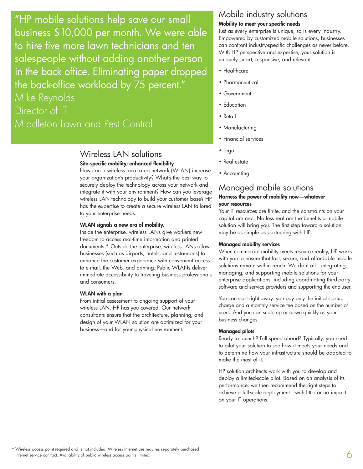"HP mobile solutions help save our small business \$10,000 per month. We were able to hire five more lawn technicians and ten salespeople without adding another person in the back office. Eliminating paper dropped the back-office workload by 75 percent." Mike Reynolds

Director of IT Middleton Lawn and Pest Control

## Wireless LAN solutions **Site-specific mobility; enhanced flexibility**

How can a wireless local area network (WLAN) increase your organization's productivity? What's the best way to securely deploy the technology across your network and integrate it with your environment? How can you leverage wireless LAN technology to build your customer base? HP has the expertise to create a secure wireless LAN tailored to your enterprise needs.

#### **WLAN signals a new era of mobility.**

Inside the enterprise, wireless LANs give workers new freedom to access real-time information and printed documents.\* Outside the enterprise, wireless LANs allow businesses (such as airports, hotels, and restaurants) to enhance the customer experience with convenient access to e-mail, the Web, and printing. Public WLANs deliver immediate accessibility to traveling business professionals and consumers.

#### **WLAN with a plan**

From initial assessment to ongoing support of your wireless LAN, HP has you covered. Our network consultants ensure that the architecture, planning, and design of your WLAN solution are optimized for your business—and for your physical environment.

## Mobile industry solutions **Mobility to meet your specific needs**

Just as every enterprise is unique, so is every industry. Empowered by customized mobile solutions, businesses can confront industry-specific challenges as never before. With HP perspective and expertise, your solution is uniquely smart, responsive, and relevant.

- Healthcare
- Pharmaceutical
- Government
- Education
- Retail
- Manufacturing
- Financial services
- Legal
- Real estate
- Accounting

# Managed mobile solutions

### **Harness the power of mobility now—whatever your resources**

Your IT resources are finite, and the constraints on your capital are real. No less real are the benefits a mobile solution will bring you. The first step toward a solution may be as simple as partnering with HP.

### **Managed mobility services**

When commercial mobility meets resource reality, HP works with you to ensure that fast, secure, and affordable mobile solutions remain within reach. We do it all—integrating, managing, and supporting mobile solutions for your enterprise applications, including coordinating third-party software and service providers and supporting the end-user.

You can start right away: you pay only the initial startup charge and a monthly service fee based on the number of users. And you can scale up or down quickly as your business changes.

#### **Managed pilots**

Ready to launch? Full speed ahead? Typically, you need to pilot your solution to see how it meets your needs and to determine how your infrastructure should be adapted to make the most of it.

HP solution architects work with you to develop and deploy a limited-scale pilot. Based on an analysis of its performance, we then recommend the right steps to achieve a full-scale deployment—with little or no impact on your IT operations.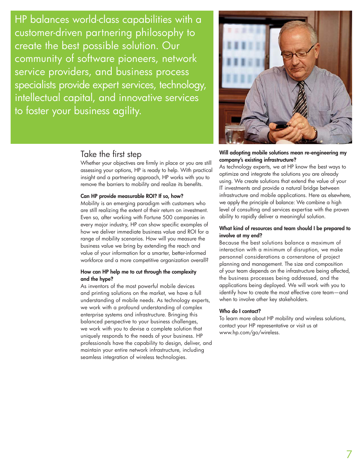HP balances world-class capabilities with a customer-driven partnering philosophy to create the best possible solution. Our community of software pioneers, network service providers, and business process specialists provide expert services, technology, intellectual capital, and innovative services to foster your business agility.

# Take the first step

Whether your objectives are firmly in place or you are still assessing your options, HP is ready to help. With practical insight and a partnering approach, HP works with you to remove the barriers to mobility and realize its benefits.

## **Can HP provide measurable ROI? If so, how?**

Mobility is an emerging paradigm with customers who are still realizing the extent of their return on investment. Even so, after working with Fortune 500 companies in every major industry, HP can show specific examples of how we deliver immediate business value and ROI for a range of mobility scenarios. How will you measure the business value we bring by extending the reach and value of your information for a smarter, better-informed workforce and a more competitive organization overall?

### **How can HP help me to cut through the complexity and the hype?**

As inventors of the most powerful mobile devices and printing solutions on the market, we have a full understanding of mobile needs. As technology experts, we work with a profound understanding of complex enterprise systems and infrastructure. Bringing this balanced perspective to your business challenges, we work with you to devise a complete solution that uniquely responds to the needs of your business. HP professionals have the capability to design, deliver, and maintain your entire network infrastructure, including seamless integration of wireless technologies.



### **Will adopting mobile solutions mean re-engineering my company's existing infrastructure?**

As technology experts, we at HP know the best ways to optimize and integrate the solutions you are already using. We create solutions that extend the value of your IT investments and provide a natural bridge between infrastructure and mobile applications. Here as elsewhere, we apply the principle of balance: We combine a high level of consulting and services expertise with the proven ability to rapidly deliver a meaningful solution.

### **What kind of resources and team should I be prepared to involve at my end?**

Because the best solutions balance a maximum of interaction with a minimum of disruption, we make personnel considerations a cornerstone of project planning and management. The size and composition of your team depends on the infrastructure being affected, the business processes being addressed, and the applications being deployed. We will work with you to identify how to create the most effective core team—and when to involve other key stakeholders.

#### **Who do I contact?**

To learn more about HP mobility and wireless solutions, contact your HP representative or visit us at www.hp.com/go/wireless.